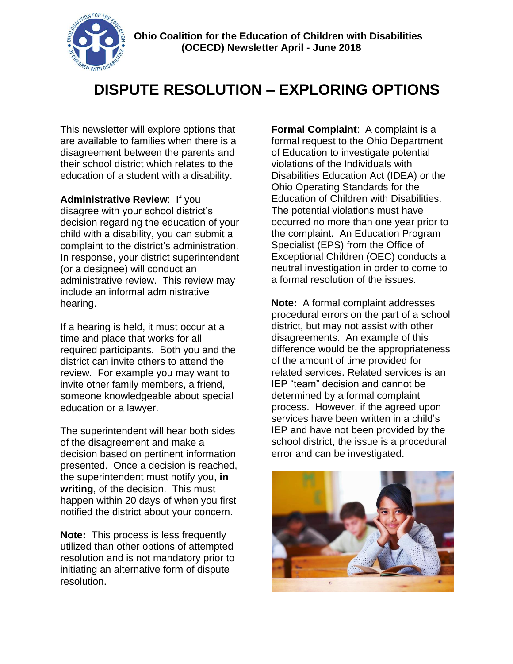

## **DISPUTE RESOLUTION – EXPLORING OPTIONS**

This newsletter will explore options that are available to families when there is a disagreement between the parents and their school district which relates to the education of a student with a disability.

**Administrative Review**: If you disagree with your school district's decision regarding the education of your child with a disability, you can submit a complaint to the district's administration. In response, your district superintendent (or a designee) will conduct an administrative review. This review may include an informal administrative hearing.

If a hearing is held, it must occur at a time and place that works for all required participants. Both you and the district can invite others to attend the review. For example you may want to invite other family members, a friend, someone knowledgeable about special education or a lawyer.

The superintendent will hear both sides of the disagreement and make a decision based on pertinent information presented. Once a decision is reached, the superintendent must notify you, **in writing**, of the decision. This must happen within 20 days of when you first notified the district about your concern.

**Note:** This process is less frequently utilized than other options of attempted resolution and is not mandatory prior to initiating an alternative form of dispute resolution.

**Formal Complaint**: A complaint is a formal request to the Ohio Department of Education to investigate potential violations of the Individuals with Disabilities Education Act (IDEA) or the Ohio Operating Standards for the Education of Children with Disabilities. The potential violations must have occurred no more than one year prior to the complaint. An Education Program Specialist (EPS) from the Office of Exceptional Children (OEC) conducts a neutral investigation in order to come to a formal resolution of the issues.

**Note:** A formal complaint addresses procedural errors on the part of a school district, but may not assist with other disagreements. An example of this difference would be the appropriateness of the amount of time provided for related services. Related services is an IEP "team" decision and cannot be determined by a formal complaint process. However, if the agreed upon services have been written in a child's IEP and have not been provided by the school district, the issue is a procedural error and can be investigated.

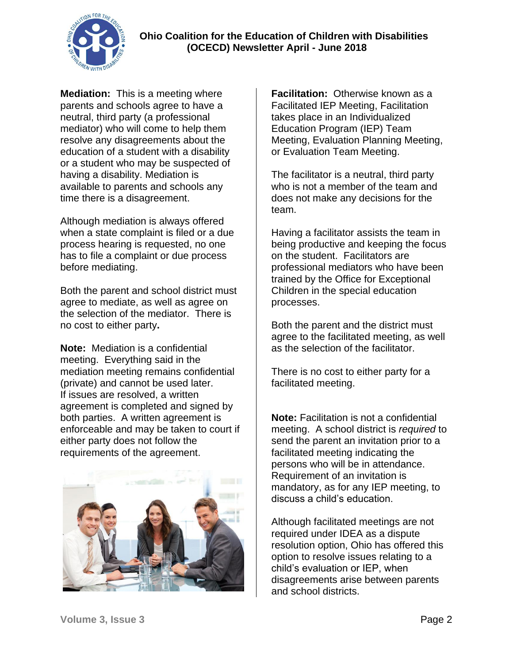

**Mediation:** This is a meeting where parents and schools agree to have a neutral, third party (a professional mediator) who will come to help them resolve any disagreements about the education of a student with a disability or a student who may be suspected of having a disability. Mediation is available to parents and schools any time there is a disagreement.

Although mediation is always offered when a state complaint is filed or a due process hearing is requested, no one has to file a complaint or due process before mediating.

Both the parent and school district must agree to mediate, as well as agree on the selection of the mediator. There is no cost to either party**.** 

**Note:** Mediation is a confidential meeting. Everything said in the mediation meeting remains confidential (private) and cannot be used later. If issues are resolved, a written agreement is completed and signed by both parties. A written agreement is enforceable and may be taken to court if either party does not follow the requirements of the agreement.



**Facilitation:** Otherwise known as a Facilitated IEP Meeting, Facilitation takes place in an Individualized Education Program (IEP) Team Meeting, Evaluation Planning Meeting, or Evaluation Team Meeting.

The facilitator is a neutral, third party who is not a member of the team and does not make any decisions for the team.

Having a facilitator assists the team in being productive and keeping the focus on the student. Facilitators are professional mediators who have been trained by the Office for Exceptional Children in the special education processes.

Both the parent and the district must agree to the facilitated meeting, as well as the selection of the facilitator.

There is no cost to either party for a facilitated meeting.

**Note:** Facilitation is not a confidential meeting. A school district is *required* to send the parent an invitation prior to a facilitated meeting indicating the persons who will be in attendance. Requirement of an invitation is mandatory, as for any IEP meeting, to discuss a child's education.

Although facilitated meetings are not required under IDEA as a dispute resolution option, Ohio has offered this option to resolve issues relating to a child's evaluation or IEP, when disagreements arise between parents and school districts.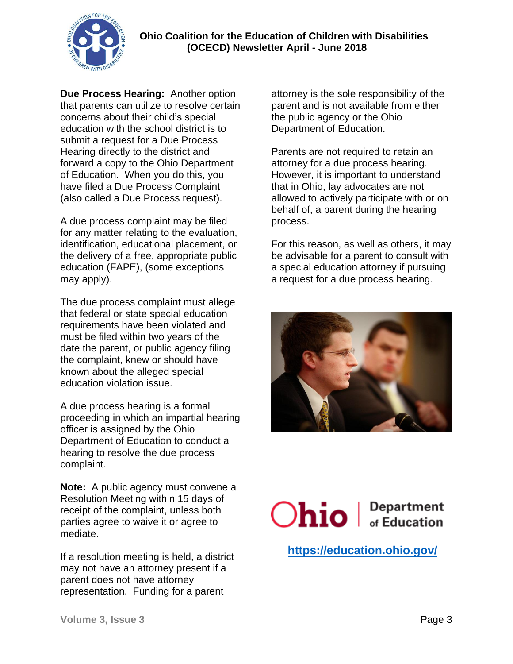

**Due Process Hearing:** Another option that parents can utilize to resolve certain concerns about their child's special education with the school district is to submit a request for a Due Process Hearing directly to the district and forward a copy to the Ohio Department of Education. When you do this, you have filed a Due Process Complaint (also called a Due Process request).

A due process complaint may be filed for any matter relating to the evaluation, identification, educational placement, or the delivery of a free, appropriate public education (FAPE), (some exceptions may apply).

The due process complaint must allege that federal or state special education requirements have been violated and must be filed within two years of the date the parent, or public agency filing the complaint, knew or should have known about the alleged special education violation issue.

A due process hearing is a formal proceeding in which an impartial hearing officer is assigned by the Ohio Department of Education to conduct a hearing to resolve the due process complaint.

**Note:** A public agency must convene a Resolution Meeting within 15 days of receipt of the complaint, unless both parties agree to waive it or agree to mediate.

If a resolution meeting is held, a district may not have an attorney present if a parent does not have attorney representation. Funding for a parent

attorney is the sole responsibility of the parent and is not available from either the public agency or the Ohio Department of Education.

Parents are not required to retain an attorney for a due process hearing. However, it is important to understand that in Ohio, lay advocates are not allowed to actively participate with or on behalf of, a parent during the hearing process.

For this reason, as well as others, it may be advisable for a parent to consult with a special education attorney if pursuing a request for a due process hearing.



Ohio | Department

 **<https://education.ohio.gov/>**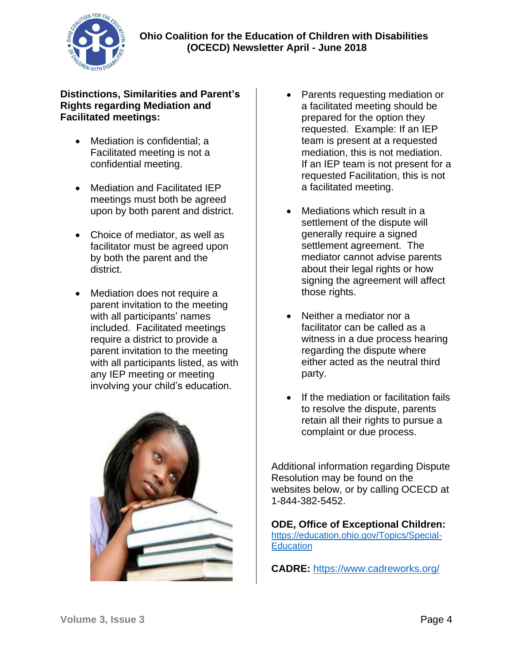

## **Distinctions, Similarities and Parent's Rights regarding Mediation and Facilitated meetings:**

- Mediation is confidential; a Facilitated meeting is not a confidential meeting.
- Mediation and Facilitated IEP meetings must both be agreed upon by both parent and district.
- Choice of mediator, as well as facilitator must be agreed upon by both the parent and the district.
- Mediation does not require a parent invitation to the meeting with all participants' names included. Facilitated meetings require a district to provide a parent invitation to the meeting with all participants listed, as with any IEP meeting or meeting involving your child's education.



- Parents requesting mediation or a facilitated meeting should be prepared for the option they requested. Example: If an IEP team is present at a requested mediation, this is not mediation. If an IEP team is not present for a requested Facilitation, this is not a facilitated meeting.
- Mediations which result in a settlement of the dispute will generally require a signed settlement agreement. The mediator cannot advise parents about their legal rights or how signing the agreement will affect those rights.
- Neither a mediator nor a facilitator can be called as a witness in a due process hearing regarding the dispute where either acted as the neutral third party.
- If the mediation or facilitation fails to resolve the dispute, parents retain all their rights to pursue a complaint or due process.

Additional information regarding Dispute Resolution may be found on the websites below, or by calling OCECD at 1-844-382-5452.

**ODE, Office of Exceptional Children:**  [https://education.ohio.gov/Topics/Special-](https://education.ohio.gov/Topics/Special-Education)**[Education](https://education.ohio.gov/Topics/Special-Education)** 

**CADRE:** <https://www.cadreworks.org/>